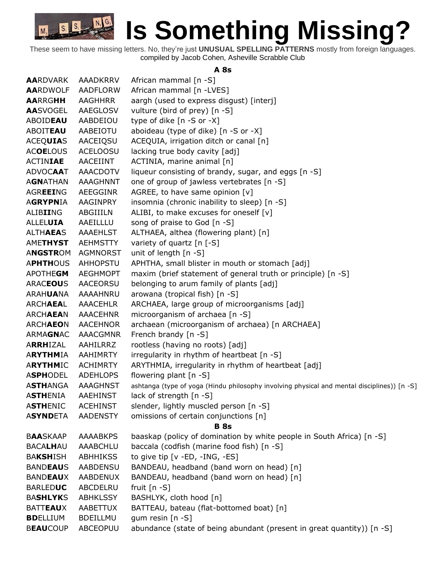

These seem to have missing letters. No, they're just **UNUSUAL SPELLING PATTERNS** mostly from foreign languages. compiled by Jacob Cohen, Asheville Scrabble Club

#### **A 8s**

| <b>AARDVARK</b> | AAADKRRV        | African mammal [n -S]                                                                       |
|-----------------|-----------------|---------------------------------------------------------------------------------------------|
| <b>AARDWOLF</b> | AADFLORW        | African mammal [n -LVES]                                                                    |
| <b>AARRGHH</b>  | AAGHHRR         | aargh (used to express disgust) [interj]                                                    |
| <b>AASVOGEL</b> | AAEGLOSV        | vulture (bird of prey) [n -S]                                                               |
| ABOIDEAU        | AABDEIOU        | type of dike [n -S or -X]                                                                   |
| <b>ABOITEAU</b> | AABEIOTU        | aboideau (type of dike) [n -S or -X]                                                        |
| <b>ACEQUIAS</b> | AACEIQSU        | ACEQUIA, irrigation ditch or canal [n]                                                      |
| <b>ACOELOUS</b> | <b>ACELOOSU</b> | lacking true body cavity [adj]                                                              |
| <b>ACTINIAE</b> | AACEIINT        | ACTINIA, marine animal [n]                                                                  |
| <b>ADVOCAAT</b> | <b>AAACDOTV</b> | liqueur consisting of brandy, sugar, and eggs [n -S]                                        |
| <b>AGNATHAN</b> | <b>AAAGHNNT</b> | one of group of jawless vertebrates [n -S]                                                  |
| AGREEING        | AEEGGINR        | AGREE, to have same opinion [v]                                                             |
| <b>AGRYPNIA</b> | AAGINPRY        | insomnia (chronic inability to sleep) [n -S]                                                |
| ALIBIING        | ABGIIILN        | ALIBI, to make excuses for oneself [v]                                                      |
| <b>ALLELUIA</b> | AAEILLLU        | song of praise to God [n -S]                                                                |
| <b>ALTHAEAS</b> | AAAEHLST        | ALTHAEA, althea (flowering plant) [n]                                                       |
| <b>AMETHYST</b> | <b>AEHMSTTY</b> | variety of quartz [n [-S]                                                                   |
| <b>ANGSTROM</b> | <b>AGMNORST</b> | unit of length $[n -S]$                                                                     |
| <b>APHTHOUS</b> | <b>AHHOPSTU</b> | APHTHA, small blister in mouth or stomach [adj]                                             |
| APOTHEGM        | <b>AEGHMOPT</b> | maxim (brief statement of general truth or principle) [n -S]                                |
| <b>ARACEOUS</b> | AACEORSU        | belonging to arum family of plants [adj]                                                    |
| ARAHUANA        | AAAAHNRU        | arowana (tropical fish) [n -S]                                                              |
| ARCHAEAL        | <b>AAACEHLR</b> | ARCHAEA, large group of microorganisms [adj]                                                |
| ARCHAEAN        | <b>AAACEHNR</b> | microorganism of archaea [n -S]                                                             |
| ARCHAEON        | <b>AACEHNOR</b> | archaean (microorganism of archaea) [n ARCHAEA]                                             |
| ARMAGNAC        | AAACGMNR        | French brandy [n -S]                                                                        |
| ARRHIZAL        | AAHILRRZ        | rootless (having no roots) [adj]                                                            |
| <b>ARYTHMIA</b> | AAHIMRTY        | irregularity in rhythm of heartbeat [n -S]                                                  |
| <b>ARYTHMIC</b> | <b>ACHIMRTY</b> | ARYTHMIA, irregularity in rhythm of heartbeat [adj]                                         |
| <b>ASPHODEL</b> | <b>ADEHLOPS</b> | flowering plant [n -S]                                                                      |
| <b>ASTHANGA</b> | <b>AAAGHNST</b> | ashtanga (type of yoga (Hindu philosophy involving physical and mental disciplines)) [n -S] |
| <b>ASTHENIA</b> | AAEHINST        | lack of strength [n -S]                                                                     |
| <b>ASTHENIC</b> | <b>ACEHINST</b> | slender, lightly muscled person [n -S]                                                      |
| <b>ASYNDETA</b> | <b>AADENSTY</b> | omissions of certain conjunctions [n]                                                       |
| <b>BAASKAAP</b> | <b>AAAABKPS</b> | <b>B</b> 8s<br>baaskap (policy of domination by white people in South Africa) [n -S]        |
| <b>BACALHAU</b> | AAABCHLU        | baccala (codfish (marine food fish) [n -S]                                                  |
| <b>BAKSHISH</b> | <b>ABHHIKSS</b> | to give tip [v -ED, -ING, -ES]                                                              |
| <b>BANDEAUS</b> | <b>AABDENSU</b> | BANDEAU, headband (band worn on head) [n]                                                   |
| <b>BANDEAUX</b> | AABDENUX        | BANDEAU, headband (band worn on head) [n]                                                   |
| <b>BARLEDUC</b> | ABCDELRU        | fruit $[n - S]$                                                                             |
| <b>BASHLYKS</b> | <b>ABHKLSSY</b> | BASHLYK, cloth hood [n]                                                                     |
| <b>BATTEAUX</b> | AABETTUX        | BATTEAU, bateau (flat-bottomed boat) [n]                                                    |
| <b>BDELLIUM</b> | <b>BDEILLMU</b> | gum resin $[n -S]$                                                                          |
| <b>BEAUCOUP</b> | ABCEOPUU        | abundance (state of being abundant (present in great quantity)) [n -S]                      |
|                 |                 |                                                                                             |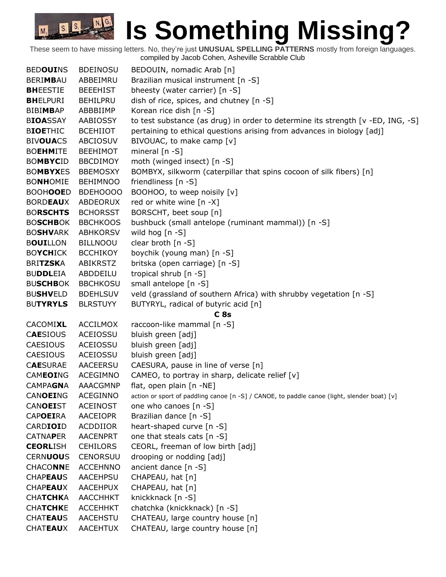| <b>BEDOUINS</b> | <b>BDEINOSU</b> | BEDOUIN, nomadic Arab [n]                                                                   |
|-----------------|-----------------|---------------------------------------------------------------------------------------------|
| <b>BERIMBAU</b> | ABBEIMRU        | Brazilian musical instrument [n -S]                                                         |
| <b>BHEESTIE</b> | <b>BEEEHIST</b> | bheesty (water carrier) [n -S]                                                              |
| <b>BHELPURI</b> | <b>BEHILPRU</b> | dish of rice, spices, and chutney [n -S]                                                    |
| <b>BIBIMBAP</b> | ABBBIIMP        | Korean rice dish [n -S]                                                                     |
| <b>BIOASSAY</b> | AABIOSSY        | to test substance (as drug) in order to determine its strength [v -ED, ING, -S]             |
| <b>BIOETHIC</b> | <b>BCEHIIOT</b> | pertaining to ethical questions arising from advances in biology [adj]                      |
| <b>BIVOUACS</b> | <b>ABCIOSUV</b> | BIVOUAC, to make camp [v]                                                                   |
| <b>BOEHMITE</b> | <b>BEEHIMOT</b> | mineral $[n - S]$                                                                           |
| <b>BOMBYCID</b> | <b>BBCDIMOY</b> | moth (winged insect) [n -S]                                                                 |
| <b>BOMBYXES</b> | <b>BBEMOSXY</b> | BOMBYX, silkworm (caterpillar that spins cocoon of silk fibers) [n]                         |
| <b>BONHOMIE</b> | <b>BEHIMNOO</b> | friendliness [n -S]                                                                         |
| <b>BOOHOOED</b> | BDEHOOOO        | BOOHOO, to weep noisily [v]                                                                 |
| <b>BORDEAUX</b> | ABDEORUX        | red or white wine [n -X]                                                                    |
| <b>BORSCHTS</b> | <b>BCHORSST</b> | BORSCHT, beet soup [n]                                                                      |
| <b>BOSCHBOK</b> | <b>BBCHKOOS</b> | bushbuck (small antelope (ruminant mammal)) [n -S]                                          |
| <b>BOSHVARK</b> | <b>ABHKORSV</b> | wild hog [n -S]                                                                             |
| <b>BOUILLON</b> | <b>BILLNOOU</b> | clear broth [n -S]                                                                          |
| <b>BOYCHICK</b> | <b>BCCHIKOY</b> | boychik (young man) [n -S]                                                                  |
| <b>BRITZSKA</b> | <b>ABIKRSTZ</b> | britska (open carriage) [n -S]                                                              |
| <b>BUDDLEIA</b> | ABDDEILU        | tropical shrub [n -S]                                                                       |
| <b>BUSCHBOK</b> | <b>BBCHKOSU</b> | small antelope [n -S]                                                                       |
| <b>BUSHVELD</b> | <b>BDEHLSUV</b> | veld (grassland of southern Africa) with shrubby vegetation [n -S]                          |
| <b>BUTYRYLS</b> | <b>BLRSTUYY</b> | BUTYRYL, radical of butyric acid [n]                                                        |
|                 |                 | C <sub>8s</sub>                                                                             |
| CACOMIXL        | <b>ACCILMOX</b> | raccoon-like mammal [n -S]                                                                  |
| <b>CAESIOUS</b> | ACEIOSSU        | bluish green [adj]                                                                          |
| <b>CAESIOUS</b> | ACEIOSSU        | bluish green [adj]                                                                          |
| <b>CAESIOUS</b> | ACEIOSSU        | bluish green [adj]                                                                          |
| <b>CAESURAE</b> | <b>AACEERSU</b> | CAESURA, pause in line of verse [n]                                                         |
| <b>CAMEOING</b> | <b>ACEGIMNO</b> | CAMEO, to portray in sharp, delicate relief [v]                                             |
| <b>CAMPAGNA</b> | <b>AAACGMNP</b> | flat, open plain [n -NE]                                                                    |
| <b>CANOEING</b> | <b>ACEGINNO</b> | action or sport of paddling canoe [n -S] / CANOE, to paddle canoe (light, slender boat) [v] |
| <b>CANOEIST</b> | <b>ACEINOST</b> | one who canoes [n -S]                                                                       |
| <b>CAPOEIRA</b> | AACEIOPR        | Brazilian dance [n -S]                                                                      |
| CARDIOID        | ACDDIIOR        | heart-shaped curve [n -S]                                                                   |
| <b>CATNAPER</b> | <b>AACENPRT</b> | one that steals cats [n -S]                                                                 |
| <b>CEORLISH</b> | <b>CEHILORS</b> | CEORL, freeman of low birth [adj]                                                           |
| <b>CERNUOUS</b> | <b>CENORSUU</b> | drooping or nodding [adj]                                                                   |
| <b>CHACONNE</b> | <b>ACCEHNNO</b> | ancient dance [n -S]                                                                        |
| <b>CHAPEAUS</b> | AACEHPSU        | CHAPEAU, hat [n]                                                                            |
| <b>CHAPEAUX</b> | <b>AACEHPUX</b> | CHAPEAU, hat [n]                                                                            |
| <b>CHATCHKA</b> | <b>AACCHHKT</b> | knickknack [n -S]                                                                           |
| <b>CHATCHKE</b> | <b>ACCEHHKT</b> | chatchka (knickknack) [n -S]                                                                |
| <b>CHATEAUS</b> | AACEHSTU        | CHATEAU, large country house [n]                                                            |
| <b>CHATEAUX</b> | AACEHTUX        | CHATEAU, large country house [n]                                                            |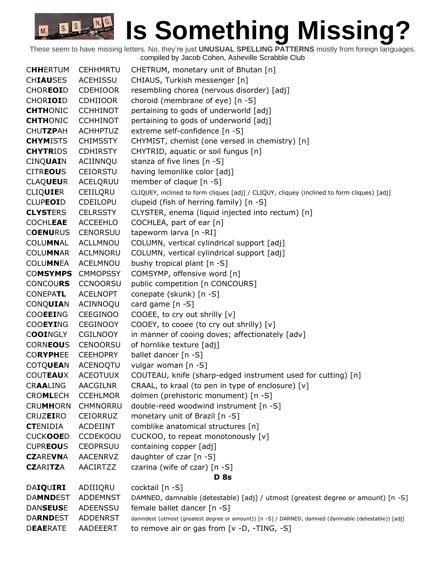| <b>CHHERTUM</b> | <b>CEHHMRTU</b> | CHETRUM, monetary unit of Bhutan [n]                                                                |
|-----------------|-----------------|-----------------------------------------------------------------------------------------------------|
| <b>CHIAUSES</b> | <b>ACEHISSU</b> | CHIAUS, Turkish messenger [n]                                                                       |
| <b>CHOREOID</b> | <b>CDEHIOOR</b> | resembling chorea (nervous disorder) [adj]                                                          |
| CHORIOID        | <b>CDHIIOOR</b> | choroid (membrane of eye) [n -S]                                                                    |
| <b>CHTHONIC</b> | <b>CCHHINOT</b> | pertaining to gods of underworld [adj]                                                              |
| <b>CHTHONIC</b> | <b>CCHHINOT</b> | pertaining to gods of underworld [adj]                                                              |
| <b>CHUTZPAH</b> | <b>ACHHPTUZ</b> | extreme self-confidence [n -S]                                                                      |
| <b>CHYMISTS</b> | <b>CHIMSSTY</b> | CHYMIST, chemist (one versed in chemistry) [n]                                                      |
| <b>CHYTRIDS</b> | <b>CDHIRSTY</b> | CHYTRID, aquatic or soil fungus [n]                                                                 |
| <b>CINQUAIN</b> | ACIINNQU        | stanza of five lines [n -S]                                                                         |
| <b>CITREOUS</b> | <b>CEIORSTU</b> | having lemonlike color [adj]                                                                        |
| <b>CLAQUEUR</b> | ACELQRUU        | member of claque [n -S]                                                                             |
| <b>CLIQUIER</b> | CEIILQRU        | CLIQUEY, inclined to form cliques [adj] / CLIQUY, cliquey (inclined to form cliques) [adj]          |
| <b>CLUPEOID</b> | CDEILOPU        | clupeid (fish of herring family) [n -S]                                                             |
| <b>CLYSTERS</b> | <b>CELRSSTY</b> | CLYSTER, enema (liquid injected into rectum) [n]                                                    |
| <b>COCHLEAE</b> | ACCEEHLO        | COCHLEA, part of ear [n]                                                                            |
| <b>COENURUS</b> | <b>CENORSUU</b> | tapeworm larva [n -RI]                                                                              |
| <b>COLUMNAL</b> | <b>ACLLMNOU</b> | COLUMN, vertical cylindrical support [adj]                                                          |
| <b>COLUMNAR</b> | <b>ACLMNORU</b> | COLUMN, vertical cylindrical support [adj]                                                          |
| <b>COLUMNEA</b> | <b>ACELMNOU</b> | bushy tropical plant [n -S]                                                                         |
| <b>COMSYMPS</b> | <b>CMMOPSSY</b> | COMSYMP, offensive word [n]                                                                         |
| <b>CONCOURS</b> | <b>CCNOORSU</b> | public competition [n CONCOURS]                                                                     |
| <b>CONEPATL</b> | <b>ACELNOPT</b> | conepate (skunk) [n -S]                                                                             |
| CONQUIAN        | ACINNOQU        | card game [n -S]                                                                                    |
| <b>COOEEING</b> | <b>CEEGINOO</b> | COOEE, to cry out shrilly [v]                                                                       |
| <b>COOEYING</b> | <b>CEGINOOY</b> | COOEY, to cooee (to cry out shrilly) [v]                                                            |
| COOINGLY        | <b>CGILNOOY</b> | in manner of cooing doves; affectionately [adv]                                                     |
| <b>CORNEOUS</b> | <b>CENOORSU</b> | of hornlike texture [adj]                                                                           |
| <b>CORYPHEE</b> | <b>CEEHOPRY</b> | ballet dancer [n -S]                                                                                |
| <b>COTQUEAN</b> | ACENOQTU        | vulgar woman [n -S]                                                                                 |
| <b>COUTEAUX</b> | <b>ACEOTUUX</b> | COUTEAU, knife (sharp-edged instrument used for cutting) [n]                                        |
| <b>CRAALING</b> | <b>AACGILNR</b> | CRAAL, to kraal (to pen in type of enclosure) [v]                                                   |
| <b>CROMLECH</b> | <b>CCEHLMOR</b> | dolmen (prehistoric monument) [n -S]                                                                |
| <b>CRUMHORN</b> | CHMNORRU        | double-reed woodwind instrument [n -S]                                                              |
| <b>CRUZEIRO</b> | <b>CEIORRUZ</b> | monetary unit of Brazil [n -S]                                                                      |
| <b>CTENIDIA</b> | <b>ACDEIINT</b> | comblike anatomical structures [n]                                                                  |
| <b>CUCKOOED</b> | <b>CCDEKOOU</b> | CUCKOO, to repeat monotonously [v]                                                                  |
| <b>CUPREOUS</b> | <b>CEOPRSUU</b> | containing copper [adj]                                                                             |
| <b>CZAREVNA</b> | <b>AACENRVZ</b> | daughter of czar [n -S]                                                                             |
| <b>CZARITZA</b> | <b>AACIRTZZ</b> | czarina (wife of czar) [n -S]                                                                       |
|                 |                 | <b>D</b> 8s                                                                                         |
| DAIQUIRI        | ADIIIQRU        | cocktail [n -S]                                                                                     |
| <b>DAMNDEST</b> | <b>ADDEMNST</b> | DAMNED, damnable (detestable) [adj] / utmost (greatest degree or amount) [n -S]                     |
| <b>DANSEUSE</b> | ADEENSSU        | female ballet dancer [n -S]                                                                         |
| <b>DARNDEST</b> | <b>ADDENRST</b> | damndest (utmost (greatest degree or amount)) [n -S] / DARNED, damned (damnable (detestable)) [adj] |
| <b>DEAERATE</b> | AADEEERT        | to remove air or gas from $[v -D, -TING, -S]$                                                       |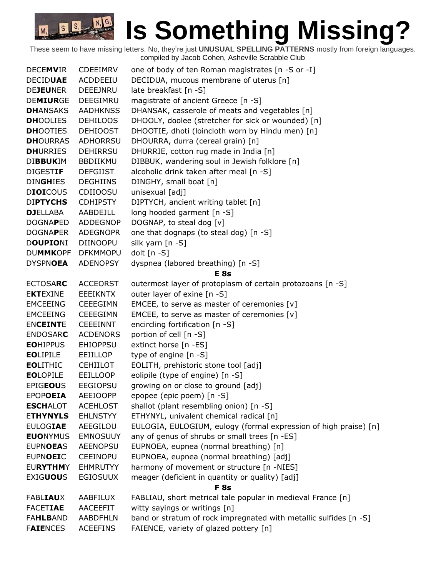### **IS Something Missing?** M<sub>3</sub>

| <b>DECEMVIR</b>  | <b>CDEEIMRV</b> | one of body of ten Roman magistrates [n -S or -I]                 |
|------------------|-----------------|-------------------------------------------------------------------|
| <b>DECIDUAE</b>  | ACDDEEIU        | DECIDUA, mucous membrane of uterus [n]                            |
| <b>DEJEUNER</b>  | DEEEJNRU        | late breakfast [n -S]                                             |
| <b>DEMIURGE</b>  | DEEGIMRU        | magistrate of ancient Greece [n -S]                               |
| <b>DHANSAKS</b>  | <b>AADHKNSS</b> | DHANSAK, casserole of meats and vegetables [n]                    |
| <b>DHOOLIES</b>  | <b>DEHILOOS</b> | DHOOLY, doolee (stretcher for sick or wounded) [n]                |
| <b>DHOOTIES</b>  | <b>DEHIOOST</b> | DHOOTIE, dhoti (loincloth worn by Hindu men) [n]                  |
| <b>DH</b> OURRAS | <b>ADHORRSU</b> | DHOURRA, durra (cereal grain) [n]                                 |
| <b>DHURRIES</b>  | <b>DEHIRRSU</b> | DHURRIE, cotton rug made in India [n]                             |
| <b>DIBBUKIM</b>  | <b>BBDIIKMU</b> | DIBBUK, wandering soul in Jewish folklore [n]                     |
| <b>DIGESTIF</b>  | <b>DEFGIIST</b> | alcoholic drink taken after meal [n -S]                           |
| <b>DINGHIES</b>  | <b>DEGHIINS</b> | DINGHY, small boat [n]                                            |
| <b>DIOICOUS</b>  | CDIIOOSU        | unisexual [adj]                                                   |
| <b>DIPTYCHS</b>  | <b>CDHIPSTY</b> | DIPTYCH, ancient writing tablet [n]                               |
| <b>DJELLABA</b>  | AABDEJLL        | long hooded garment [n -S]                                        |
| <b>DOGNAPED</b>  | <b>ADDEGNOP</b> | DOGNAP, to steal dog [v]                                          |
| <b>DOGNAPER</b>  | <b>ADEGNOPR</b> | one that dognaps (to steal dog) [n -S]                            |
| <b>DOUPIONI</b>  | <b>DIINOOPU</b> | silk yarn [n -S]                                                  |
| <b>DUMMKOPF</b>  | <b>DFKMMOPU</b> | dolt $[n - S]$                                                    |
| <b>DYSPNOEA</b>  | <b>ADENOPSY</b> | dyspnea (labored breathing) [n -S]                                |
|                  |                 | E <sub>8s</sub>                                                   |
| <b>ECTOSARC</b>  | <b>ACCEORST</b> | outermost layer of protoplasm of certain protozoans [n -S]        |
| <b>EKTEXINE</b>  | <b>EEEIKNTX</b> | outer layer of exine [n -S]                                       |
| <b>EMCEEING</b>  | <b>CEEEGIMN</b> | EMCEE, to serve as master of ceremonies [v]                       |
| <b>EMCEEING</b>  | <b>CEEEGIMN</b> | EMCEE, to serve as master of ceremonies [v]                       |
| <b>ENCEINTE</b>  | <b>CEEEINNT</b> | encircling fortification [n -S]                                   |
| <b>ENDOSARC</b>  | <b>ACDENORS</b> | portion of cell [n -S]                                            |
| <b>EOHIPPUS</b>  | <b>EHIOPPSU</b> | extinct horse [n -ES]                                             |
| <b>EOLIPILE</b>  | <b>EEIILLOP</b> | type of engine [n -S]                                             |
| <b>EOLITHIC</b>  | <b>CEHIILOT</b> | EOLITH, prehistoric stone tool [adj]                              |
| <b>EOLOPILE</b>  | <b>EEILLOOP</b> | eolipile (type of engine) [n -S]                                  |
| <b>EPIGEOUS</b>  | <b>EEGIOPSU</b> | growing on or close to ground [adj]                               |
| <b>EPOPOEIA</b>  | <b>AEEIOOPP</b> | epopee (epic poem) [n -S]                                         |
| <b>ESCHALOT</b>  | <b>ACEHLOST</b> | shallot (plant resembling onion) [n -S]                           |
| <b>ETHYNYLS</b>  | <b>EHLNSTYY</b> | ETHYNYL, univalent chemical radical [n]                           |
| <b>EULOGIAE</b>  | AEEGILOU        | EULOGIA, EULOGIUM, eulogy (formal expression of high praise) [n]  |
| <b>EUONYMUS</b>  | <b>EMNOSUUY</b> | any of genus of shrubs or small trees [n -ES]                     |
| <b>EUPNOEAS</b>  | <b>AEENOPSU</b> | EUPNOEA, eupnea (normal breathing) [n]                            |
| <b>EUPNOEIC</b>  | <b>CEEINOPU</b> | EUPNOEA, eupnea (normal breathing) [adj]                          |
| <b>EURYTHMY</b>  | <b>EHMRUTYY</b> | harmony of movement or structure [n -NIES]                        |
| <b>EXIGUOUS</b>  | <b>EGIOSUUX</b> | meager (deficient in quantity or quality) [adj]                   |
|                  |                 | F <sub>8s</sub>                                                   |
| <b>FABLIAUX</b>  | AABFILUX        | FABLIAU, short metrical tale popular in medieval France [n]       |
| <b>FACETIAE</b>  | <b>AACEEFIT</b> | witty sayings or writings [n]                                     |
| <b>FAHLBAND</b>  | <b>AABDFHLN</b> | band or stratum of rock impregnated with metallic sulfides [n -S] |
| <b>FAIENCES</b>  | <b>ACEEFINS</b> | FAIENCE, variety of glazed pottery [n]                            |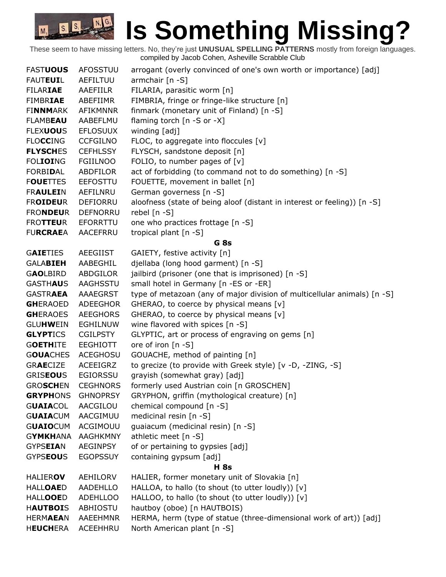| <b>FASTUOUS</b> | <b>AFOSSTUU</b> | arrogant (overly convinced of one's own worth or importance) [adj]       |
|-----------------|-----------------|--------------------------------------------------------------------------|
| <b>FAUTEUIL</b> | AEFILTUU        | armchair $[n -S]$                                                        |
| <b>FILARIAE</b> | AAEFIILR        | FILARIA, parasitic worm [n]                                              |
| <b>FIMBRIAE</b> | ABEFIIMR        | FIMBRIA, fringe or fringe-like structure [n]                             |
| <b>FINNMARK</b> | <b>AFIKMNNR</b> | finmark (monetary unit of Finland) [n -S]                                |
| <b>FLAMBEAU</b> | AABEFLMU        | flaming torch $[n - S$ or $-X]$                                          |
| <b>FLEXUOUS</b> | <b>EFLOSUUX</b> | winding [adj]                                                            |
| <b>FLOCCING</b> | <b>CCFGILNO</b> | FLOC, to aggregate into floccules [v]                                    |
| <b>FLYSCHES</b> | <b>CEFHLSSY</b> | FLYSCH, sandstone deposit [n]                                            |
| <b>FOLIOING</b> | <b>FGIILNOO</b> | FOLIO, to number pages of $[v]$                                          |
| <b>FORBIDAL</b> | ABDFILOR        | act of forbidding (to command not to do something) [n -S]                |
| <b>FOUETTES</b> | <b>EEFOSTTU</b> | FOUETTE, movement in ballet [n]                                          |
| <b>FRAULEIN</b> | AEFILNRU        | German governess [n -S]                                                  |
| <b>FROIDEUR</b> | DEFIORRU        | aloofness (state of being aloof (distant in interest or feeling)) [n -S] |
| <b>FRONDEUR</b> | <b>DEFNORRU</b> | rebel $[n - S]$                                                          |
| <b>FROTTEUR</b> | EFORRTTU        | one who practices frottage [n -S]                                        |
| <b>FURCRAEA</b> | AACEFRRU        | tropical plant [n -S]                                                    |
|                 |                 | G 8s                                                                     |
| <b>GAIETIES</b> | <b>AEEGIIST</b> | GAIETY, festive activity [n]                                             |
| <b>GALABIEH</b> | AABEGHIL        | djellaba (long hood garment) [n -S]                                      |
| <b>GAOLBIRD</b> | ABDGILOR        | jailbird (prisoner (one that is imprisoned) [n -S]                       |
| <b>GASTHAUS</b> | AAGHSSTU        | small hotel in Germany [n -ES or -ER]                                    |
| <b>GASTRAEA</b> | AAAEGRST        | type of metazoan (any of major division of multicellular animals) [n -S] |
| <b>GHERAOED</b> | ADEEGHOR        | GHERAO, to coerce by physical means [v]                                  |
| <b>GHERAOES</b> | <b>AEEGHORS</b> | GHERAO, to coerce by physical means [v]                                  |
| <b>GLUHWEIN</b> | <b>EGHILNUW</b> | wine flavored with spices [n -S]                                         |
| <b>GLYPTICS</b> | <b>CGILPSTY</b> | GLYPTIC, art or process of engraving on gems [n]                         |
| <b>GOETHITE</b> | <b>EEGHIOTT</b> | ore of iron [n -S]                                                       |
| <b>GOUACHES</b> | <b>ACEGHOSU</b> | GOUACHE, method of painting [n]                                          |
| <b>GRAECIZE</b> | ACEEIGRZ        | to grecize (to provide with Greek style) [v -D, -ZING, -S]               |
| <b>GRISEOUS</b> | <b>EGIORSSU</b> | grayish (somewhat gray) [adj]                                            |
| <b>GROSCHEN</b> | <b>CEGHNORS</b> | formerly used Austrian coin [n GROSCHEN]                                 |
| <b>GRYPHONS</b> | <b>GHNOPRSY</b> | GRYPHON, griffin (mythological creature) [n]                             |
| <b>GUAIACOL</b> | AACGILOU        | chemical compound [n -S]                                                 |
| <b>GUAIACUM</b> | AACGIMUU        | medicinal resin [n -S]                                                   |
| <b>GUAIOCUM</b> | ACGIMOUU        | guaiacum (medicinal resin) [n -S]                                        |
| <b>GYMKHANA</b> | <b>AAGHKMNY</b> | athletic meet [n -S]                                                     |
| <b>GYPSEIAN</b> | AEGINPSY        | of or pertaining to gypsies [adj]                                        |
| <b>GYPSEOUS</b> | <b>EGOPSSUY</b> | containing gypsum [adj]                                                  |
|                 |                 | <b>H</b> 8s                                                              |
| <b>HALIEROV</b> | AEHILORV        | HALIER, former monetary unit of Slovakia [n]                             |
| <b>HALLOAED</b> | AADEHLLO        | HALLOA, to hallo (to shout (to utter loudly)) [v]                        |
| <b>HALLOOED</b> | <b>ADEHLLOO</b> | HALLOO, to hallo (to shout (to utter loudly)) [v]                        |
| <b>HAUTBOIS</b> | ABHIOSTU        | hautboy (oboe) [n HAUTBOIS)                                              |
| <b>HERMAEAN</b> | <b>AAEEHMNR</b> | HERMA, herm (type of statue (three-dimensional work of art)) [adj]       |
| <b>HEUCHERA</b> | ACEEHHRU        | North American plant [n -S]                                              |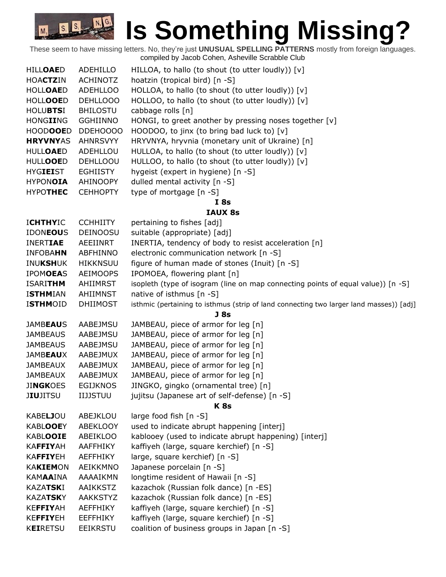| <b>HILLOAED</b>                    | ADEHILLO                    | HILLOA, to hallo (to shout (to utter loudly)) $[v]$                                                 |
|------------------------------------|-----------------------------|-----------------------------------------------------------------------------------------------------|
| <b>HOACTZIN</b>                    | <b>ACHINOTZ</b>             | hoatzin (tropical bird) [n -S]                                                                      |
| <b>HOLLOAED</b>                    | <b>ADEHLLOO</b>             | HOLLOA, to hallo (to shout (to utter loudly)) [v]                                                   |
| <b>HOLLOOED</b>                    | DEHLLOOO                    | HOLLOO, to hallo (to shout (to utter loudly)) [v]                                                   |
| <b>HOLUBTSI</b>                    | <b>BHILOSTU</b>             | cabbage rolls [n]                                                                                   |
| HONGIING                           | <b>GGHIINNO</b>             | HONGI, to greet another by pressing noses together [v]                                              |
| <b>HOODOOED</b>                    | DDEH0000                    | HOODOO, to jinx (to bring bad luck to) [v]                                                          |
| <b>HRYVNYAS</b>                    | <b>AHNRSVYY</b>             | HRYVNYA, hryvnia (monetary unit of Ukraine) [n]                                                     |
| <b>HULLOAED</b>                    | ADEHLLOU                    | HULLOA, to hallo (to shout (to utter loudly)) [v]                                                   |
| <b>HULLOOED</b>                    | <b>DEHLLOOU</b>             | HULLOO, to hallo (to shout (to utter loudly)) [v]                                                   |
| <b>HYGIEIST</b>                    | <b>EGHIISTY</b>             | hygeist (expert in hygiene) [n -S]                                                                  |
| <b>HYPONOIA</b>                    | AHINOOPY                    | dulled mental activity [n -S]                                                                       |
| <b>HYPOTHEC</b>                    | <b>CEHHOPTY</b>             | type of mortgage [n -S]                                                                             |
|                                    |                             | I8s                                                                                                 |
|                                    |                             | <b>IAUX 8s</b>                                                                                      |
| <b>ICHTHYIC</b>                    | <b>CCHHIITY</b>             | pertaining to fishes [adj]                                                                          |
| <b>IDONEOUS</b>                    | <b>DEINOOSU</b>             | suitable (appropriate) [adj]                                                                        |
| <b>INERTIAE</b>                    | AEEIINRT                    | INERTIA, tendency of body to resist acceleration [n]                                                |
| <b>INFOBAHN</b>                    | ABFHINNO                    | electronic communication network [n -S]                                                             |
| INUKSHUK                           | <b>HIKKNSUU</b>             | figure of human made of stones (Inuit) [n -S]                                                       |
| <b>IPOMOEAS</b>                    | <b>AEIMOOPS</b>             | IPOMOEA, flowering plant [n]                                                                        |
| <b>ISARITHM</b>                    | AHIIMRST                    | isopleth (type of isogram (line on map connecting points of equal value)) [n -S]                    |
| <b>ISTHMIAN</b>                    | AHIIMNST                    | native of isthmus [n -S]                                                                            |
| <b>ISTHMOID</b>                    | <b>DHIIMOST</b>             | isthmic (pertaining to isthmus (strip of land connecting two larger land masses)) [adj]             |
|                                    |                             | <b>J</b> 8s                                                                                         |
| <b>JAMBEAUS</b>                    | AABEJMSU                    | JAMBEAU, piece of armor for leg [n]                                                                 |
| <b>JAMBEAUS</b>                    | AABEJMSU                    | JAMBEAU, piece of armor for leg [n]                                                                 |
| <b>JAMBEAUS</b>                    | AABEJMSU                    | JAMBEAU, piece of armor for leg [n]                                                                 |
| <b>JAMBEAUX</b>                    | AABEJMUX                    | JAMBEAU, piece of armor for leg [n]                                                                 |
| <b>JAMBEAUX</b>                    | AABEJMUX                    | JAMBEAU, piece of armor for leg [n]                                                                 |
| <b>JAMBEAUX</b>                    | AABEJMUX                    | JAMBEAU, piece of armor for leg [n]                                                                 |
| <b>JINGKOES</b>                    | <b>EGIJKNOS</b>             | JINGKO, gingko (ornamental tree) [n]                                                                |
| <b>JIUJITSU</b>                    | <b>IIJJSTUU</b>             | jujitsu (Japanese art of self-defense) [n -S]                                                       |
|                                    |                             | <b>K8s</b>                                                                                          |
| <b>KABELJOU</b><br><b>KABLOOEY</b> | ABEJKLOU<br><b>ABEKLOOY</b> | large food fish [n -S]                                                                              |
| <b>KABLOOIE</b>                    | ABEIKLOO                    | used to indicate abrupt happening [interj]<br>kablooey (used to indicate abrupt happening) [interj] |
| <b>KAFFIYAH</b>                    | <b>AAFFHIKY</b>             | kaffiyeh (large, square kerchief) [n -S]                                                            |
| KAFFIYEH                           | <b>AEFFHIKY</b>             | large, square kerchief) [n -S]                                                                      |
| <b>KAKIEMON</b>                    |                             |                                                                                                     |
| <b>KAMAAINA</b>                    | AEIKKMNO<br>AAAAIKMN        | Japanese porcelain [n -S]<br>longtime resident of Hawaii [n -S]                                     |
| <b>KAZATSKI</b>                    | <b>AAIKKSTZ</b>             | kazachok (Russian folk dance) [n -ES]                                                               |
| <b>KAZATSKY</b>                    | <b>AAKKSTYZ</b>             |                                                                                                     |
| KEFFIYAH                           |                             | kazachok (Russian folk dance) [n -ES]                                                               |
|                                    | <b>AEFFHIKY</b>             | kaffiyeh (large, square kerchief) [n -S]                                                            |
| <b>KEFFIYEH</b>                    | <b>EEFFHIKY</b>             | kaffiyeh (large, square kerchief) [n -S]                                                            |
| <b>KEIRETSU</b>                    | <b>EEIKRSTU</b>             | coalition of business groups in Japan [n -S]                                                        |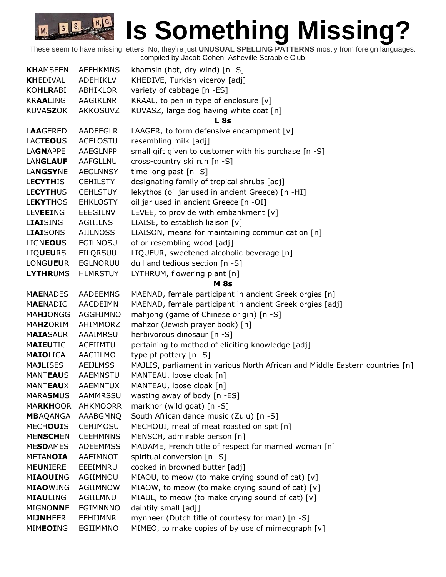| <b>KHAMSEEN</b>  | <b>AEEHKMNS</b> | khamsin (hot, dry wind) [n -S]                                               |
|------------------|-----------------|------------------------------------------------------------------------------|
| <b>KHEDIVAL</b>  | ADEHIKLV        | KHEDIVE, Turkish viceroy [adj]                                               |
| <b>KOHLRABI</b>  | <b>ABHIKLOR</b> | variety of cabbage [n -ES]                                                   |
| <b>KRAALING</b>  | AAGIKLNR        | KRAAL, to pen in type of enclosure [v]                                       |
| <b>KUVASZOK</b>  | <b>AKKOSUVZ</b> | KUVASZ, large dog having white coat [n]                                      |
|                  |                 | L 8s                                                                         |
| <b>LAAGERED</b>  | AADEEGLR        | LAAGER, to form defensive encampment $[v]$                                   |
| <b>LACTEOUS</b>  | ACELOSTU        | resembling milk [adj]                                                        |
| <b>LAGNAPPE</b>  | AAEGLNPP        | small gift given to customer with his purchase [n -S]                        |
| <b>LANGLAUF</b>  | AAFGLLNU        | cross-country ski run [n -S]                                                 |
| <b>LANGSYNE</b>  | <b>AEGLNNSY</b> | time long past [n -S]                                                        |
| <b>LECYTHIS</b>  | <b>CEHILSTY</b> | designating family of tropical shrubs [adj]                                  |
| <b>LECYTHUS</b>  | <b>CEHLSTUY</b> | lekythos (oil jar used in ancient Greece) [n -HI]                            |
| <b>LEKYTHOS</b>  | <b>EHKLOSTY</b> | oil jar used in ancient Greece [n -OI]                                       |
| <b>LEVEEING</b>  | <b>EEEGILNV</b> | LEVEE, to provide with embankment [v]                                        |
| <b>LIAISING</b>  | AGIIILNS        | LIAISE, to establish liaison [v]                                             |
| <b>LIAISONS</b>  | <b>AIILNOSS</b> | LIAISON, means for maintaining communication [n]                             |
| <b>LIGNEOUS</b>  | <b>EGILNOSU</b> | of or resembling wood [adj]                                                  |
| <b>LIQUEURS</b>  | EILQRSUU        | LIQUEUR, sweetened alcoholic beverage [n]                                    |
| <b>LONGUEUR</b>  | <b>EGLNORUU</b> | dull and tedious section [n -S]                                              |
| <b>LYTHRUMS</b>  | <b>HLMRSTUY</b> | LYTHRUM, flowering plant [n]                                                 |
|                  |                 | <b>M</b> 8s                                                                  |
| <b>MAENADES</b>  | AADEEMNS        | MAENAD, female participant in ancient Greek orgies [n]                       |
| <b>MAENADIC</b>  | AACDEIMN        | MAENAD, female participant in ancient Greek orgies [adj]                     |
| <b>MAHJONGG</b>  | AGGHJMNO        | mahjong (game of Chinese origin) [n -S]                                      |
| MAHZORIM         | AHIMMORZ        | mahzor (Jewish prayer book) [n]                                              |
| <b>MAIASAUR</b>  | AAAIMRSU        | herbivorous dinosaur [n -S]                                                  |
| <b>MAIEUTIC</b>  | <b>ACEIIMTU</b> | pertaining to method of eliciting knowledge [adj]                            |
| MAIOLICA         | AACIILMO        | type pf pottery [n -S]                                                       |
| <b>MAJLISES</b>  | <b>AEIJLMSS</b> | MAJLIS, parliament in various North African and Middle Eastern countries [n] |
| <b>MANTEAUS</b>  | <b>AAEMNSTU</b> | MANTEAU, loose cloak [n]                                                     |
| <b>MANTEAUX</b>  | AAEMNTUX        | MANTEAU, loose cloak [n]                                                     |
| <b>MARASMUS</b>  | <b>AAMMRSSU</b> | wasting away of body [n -ES]                                                 |
| <b>MARKHOOR</b>  | <b>AHKMOORR</b> | markhor (wild goat) [n -S]                                                   |
| <b>MB</b> AQANGA | AAABGMNQ        | South African dance music (Zulu) [n -S]                                      |
| <b>MECHOUIS</b>  | <b>CEHIMOSU</b> | MECHOUI, meal of meat roasted on spit [n]                                    |
| <b>MENSCHEN</b>  | <b>CEEHMNNS</b> | MENSCH, admirable person [n]                                                 |
| <b>MESDAMES</b>  | <b>ADEEMMSS</b> | MADAME, French title of respect for married woman [n]                        |
| <b>METANOIA</b>  | AAEIMNOT        | spiritual conversion [n -S]                                                  |
| <b>MEUNIERE</b>  | EEEIMNRU        | cooked in browned butter [adj]                                               |
| <b>MIAOUING</b>  | AGIIMNOU        | MIAOU, to meow (to make crying sound of cat) [v]                             |
| <b>MIAOWING</b>  | AGIIMNOW        | MIAOW, to meow (to make crying sound of cat) [v]                             |
| <b>MIAULING</b>  | AGIILMNU        | MIAUL, to meow (to make crying sound of cat) [v]                             |
| <b>MIGNONNE</b>  | <b>EGIMNNNO</b> | daintily small [adj]                                                         |
| <b>MIJNHEER</b>  | <b>EEHIJMNR</b> | mynheer (Dutch title of courtesy for man) [n -S]                             |
| <b>MIMEOING</b>  | EGIIMMNO        | MIMEO, to make copies of by use of mimeograph [v]                            |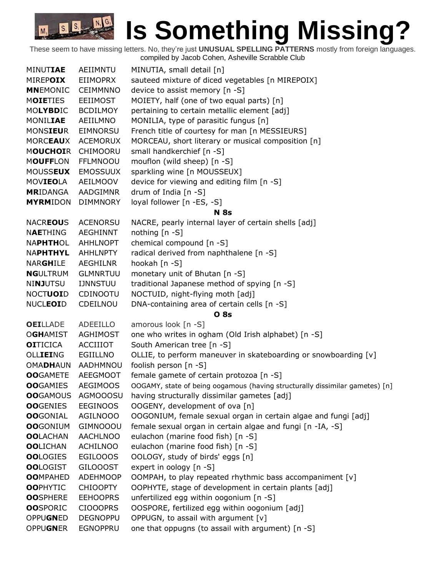| <b>MINUTIAE</b>  | AEIIMNTU        | MINUTIA, small detail [n]                                                    |
|------------------|-----------------|------------------------------------------------------------------------------|
| MIREPOIX         | <b>EIIMOPRX</b> | sauteed mixture of diced vegetables [n MIREPOIX]                             |
| <b>MNEMONIC</b>  | <b>CEIMMNNO</b> | device to assist memory [n -S]                                               |
| <b>MOIETIES</b>  | <b>EEIIMOST</b> | MOIETY, half (one of two equal parts) [n]                                    |
| MOLYBDIC         | <b>BCDILMOY</b> | pertaining to certain metallic element [adj]                                 |
| MONILIAE         | AEIILMNO        | MONILIA, type of parasitic fungus [n]                                        |
| <b>MONSIEUR</b>  | <b>EIMNORSU</b> | French title of courtesy for man [n MESSIEURS]                               |
| <b>MORCEAUX</b>  | <b>ACEMORUX</b> | MORCEAU, short literary or musical composition [n]                           |
| <b>MOUCHOIR</b>  | CHIMOORU        | small handkerchief [n -S]                                                    |
| <b>MOUFFLON</b>  | <b>FFLMNOOU</b> | mouflon (wild sheep) [n -S]                                                  |
| <b>MOUSSEUX</b>  | <b>EMOSSUUX</b> | sparkling wine [n MOUSSEUX]                                                  |
| MOVIEOLA         | AEILMOOV        | device for viewing and editing film [n -S]                                   |
| <b>MRIDANGA</b>  | <b>AADGIMNR</b> | drum of India [n -S]                                                         |
| <b>MYRMIDON</b>  | <b>DIMMNORY</b> | loyal follower [n -ES, -S]                                                   |
|                  |                 | <b>N</b> 8s                                                                  |
| <b>NACREOUS</b>  | <b>ACENORSU</b> | NACRE, pearly internal layer of certain shells [adj]                         |
| <b>NAETHING</b>  | <b>AEGHINNT</b> | nothing [n -S]                                                               |
| <b>NAPHTHOL</b>  | AHHLNOPT        | chemical compound [n -S]                                                     |
| <b>NAPHTHYL</b>  | <b>AHHLNPTY</b> | radical derived from naphthalene [n -S]                                      |
| <b>NARGHILE</b>  | <b>AEGHILNR</b> | hookah [n -S]                                                                |
| <b>NGULTRUM</b>  | <b>GLMNRTUU</b> | monetary unit of Bhutan [n -S]                                               |
| NINJUTSU         | <b>IJNNSTUU</b> | traditional Japanese method of spying [n -S]                                 |
| <b>NOCTUOID</b>  | CDINOOTU        | NOCTUID, night-flying moth [adj]                                             |
| <b>NUCLEOID</b>  | CDEILNOU        | DNA-containing area of certain cells [n -S]                                  |
|                  |                 | <b>O</b> 8s                                                                  |
| <b>OEILLADE</b>  | <b>ADEEILLO</b> | amorous look [n -S]                                                          |
| <b>OGHAMIST</b>  | <b>AGHIMOST</b> | one who writes in ogham (Old Irish alphabet) [n -S]                          |
| <b>OI</b> TICICA | <b>ACCIIIOT</b> | South American tree [n -S]                                                   |
| OLLIEING         | EGIILLNO        | OLLIE, to perform maneuver in skateboarding or snowboarding [v]              |
| <b>OMADHAUN</b>  | AADHMNOU        | foolish person [n -S]                                                        |
| <b>OO</b> GAMETE | <b>AEEGMOOT</b> | female gamete of certain protozoa [n -S]                                     |
| <b>OO</b> GAMIES | <b>AEGIMOOS</b> | OOGAMY, state of being oogamous (having structurally dissimilar gametes) [n] |
| <b>OO</b> GAMOUS | <b>AGMOOOSU</b> | having structurally dissimilar gametes [adj]                                 |
| <b>OO</b> GENIES | <b>EEGINOOS</b> | OOGENY, development of ova [n]                                               |
| <b>OO</b> GONIAL | <b>AGILNOOO</b> | OOGONIUM, female sexual organ in certain algae and fungi [adj]               |
| <b>OO</b> GONIUM | <b>GIMNOOOU</b> | female sexual organ in certain algae and fungi [n -IA, -S]                   |
| <b>OOLACHAN</b>  | <b>AACHLNOO</b> | eulachon (marine food fish) [n -S]                                           |
| <b>OOLICHAN</b>  | <b>ACHILNOO</b> | eulachon (marine food fish) [n -S]                                           |
| <b>OOLOGIES</b>  | EGILOOOS        | OOLOGY, study of birds' eggs [n]                                             |
| <b>OOLOGIST</b>  | <b>GILOOOST</b> | expert in oology [n -S]                                                      |
| <b>OOMPAHED</b>  | <b>ADEHMOOP</b> | OOMPAH, to play repeated rhythmic bass accompaniment [v]                     |
| <b>OOPHYTIC</b>  | <b>CHIOOPTY</b> | OOPHYTE, stage of development in certain plants [adj]                        |
| <b>OOSPHERE</b>  | <b>EEHOOPRS</b> | unfertilized egg within oogonium [n -S]                                      |
| <b>OO</b> SPORIC | <b>CIOOOPRS</b> | OOSPORE, fertilized egg within oogonium [adj]                                |
| OPPUGNED         | <b>DEGNOPPU</b> | OPPUGN, to assail with argument [v]                                          |
| <b>OPPUGNER</b>  | <b>EGNOPPRU</b> | one that oppugns (to assail with argument) [n -S]                            |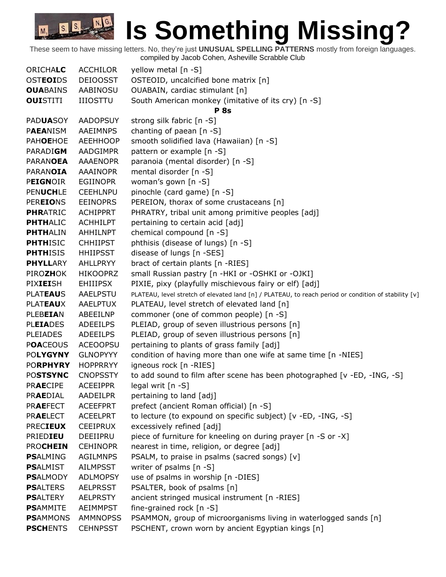| <b>ORICHALC</b>                    | <b>ACCHILOR</b>                    | yellow metal [n -S]                                                                                                   |
|------------------------------------|------------------------------------|-----------------------------------------------------------------------------------------------------------------------|
| <b>OSTEOIDS</b>                    | <b>DEIOOSST</b>                    | OSTEOID, uncalcified bone matrix [n]                                                                                  |
| <b>OUABAINS</b>                    | <b>AABINOSU</b>                    | OUABAIN, cardiac stimulant [n]                                                                                        |
| <b>OUISTITI</b>                    | <b>IIIOSTTU</b>                    | South American monkey (imitative of its cry) [n -S]                                                                   |
|                                    |                                    | <b>P</b> 8s                                                                                                           |
| <b>PADUASOY</b>                    | <b>AADOPSUY</b>                    | strong silk fabric [n -S]                                                                                             |
| <b>PAEANISM</b>                    | <b>AAEIMNPS</b>                    | chanting of paean [n -S]                                                                                              |
| <b>PAHOEHOE</b>                    | <b>AEEHHOOP</b>                    | smooth solidified lava (Hawaiian) [n -S]                                                                              |
| PARADIGM                           | AADGIMPR                           | pattern or example [n -S]                                                                                             |
| <b>PARANOEA</b>                    | <b>AAAENOPR</b>                    | paranoia (mental disorder) [n -S]                                                                                     |
| <b>PARANOIA</b>                    | <b>AAAINOPR</b>                    | mental disorder [n -S]                                                                                                |
| <b>PEIGNOIR</b>                    | <b>EGIINOPR</b>                    | woman's gown [n -S]                                                                                                   |
| <b>PENUCHLE</b>                    | <b>CEEHLNPU</b>                    | pinochle (card game) [n -S]                                                                                           |
| <b>PEREIONS</b>                    | <b>EEINOPRS</b>                    | PEREION, thorax of some crustaceans [n]                                                                               |
| <b>PHRATRIC</b>                    | <b>ACHIPPRT</b>                    | PHRATRY, tribal unit among primitive peoples [adj]                                                                    |
| <b>PHTHALIC</b>                    | <b>ACHHILPT</b>                    | pertaining to certain acid [adj]                                                                                      |
| <b>PHTHALIN</b>                    | <b>AHHILNPT</b>                    | chemical compound [n -S]                                                                                              |
| <b>PHTHISIC</b>                    | <b>CHHIIPST</b>                    | phthisis (disease of lungs) [n -S]                                                                                    |
| <b>PHTHISIS</b>                    | <b>HHIIPSST</b>                    | disease of lungs [n -SES]                                                                                             |
| <b>PHYLLARY</b>                    | <b>AHLLPRYY</b>                    | bract of certain plants [n -RIES]                                                                                     |
| <b>PIROZHOK</b>                    | <b>HIKOOPRZ</b>                    | small Russian pastry [n -HKI or -OSHKI or -OJKI]                                                                      |
| PIXIEISH                           | <b>EHIIIPSX</b>                    | PIXIE, pixy (playfully mischievous fairy or elf) [adj]                                                                |
| <b>PLATEAUS</b>                    | AAELPSTU                           | PLATEAU, level stretch of elevated land [n] / PLATEAU, to reach period or condition of stability [v]                  |
| <b>PLATEAUX</b>                    | AAELPTUX                           | PLATEAU, level stretch of elevated land [n]                                                                           |
| <b>PLEBEIAN</b>                    | ABEEILNP                           | commoner (one of common people) [n -S]                                                                                |
| <b>PLEIADES</b>                    | <b>ADEEILPS</b>                    | PLEIAD, group of seven illustrious persons [n]                                                                        |
| <b>PLEIADES</b>                    | <b>ADEEILPS</b>                    | PLEIAD, group of seven illustrious persons [n]                                                                        |
| <b>POACEOUS</b>                    | <b>ACEOOPSU</b>                    | pertaining to plants of grass family [adj]                                                                            |
| <b>POLYGYNY</b>                    | <b>GLNOPYYY</b>                    | condition of having more than one wife at same time [n -NIES]                                                         |
| <b>PORPHYRY</b>                    | <b>HOPPRRYY</b>                    | igneous rock [n -RIES]                                                                                                |
| <b>POSTSYNC</b>                    | <b>CNOPSSTY</b>                    | to add sound to film after scene has been photographed [v -ED, -ING, -S]                                              |
| <b>PRAECIPE</b>                    | <b>ACEEIPPR</b>                    | legal writ [n -S]                                                                                                     |
| <b>PRAEDIAL</b>                    | <b>AADEILPR</b>                    | pertaining to land [adj]                                                                                              |
| <b>PRAEFECT</b>                    | <b>ACEEFPRT</b>                    | prefect (ancient Roman official) [n -S]                                                                               |
| <b>PRAELECT</b>                    | <b>ACEELPRT</b>                    | to lecture (to expound on specific subject) [v -ED, -ING, -S]                                                         |
| <b>PRECIEUX</b>                    | <b>CEEIPRUX</b>                    | excessively refined [adj]                                                                                             |
| PRIEDIEU                           | DEEIIPRU                           | piece of furniture for kneeling on during prayer [n -S or -X]                                                         |
| <b>PROCHEIN</b>                    | <b>CEHINOPR</b>                    | nearest in time, religion, or degree [adj]                                                                            |
| <b>PSALMING</b>                    | <b>AGILMNPS</b>                    | PSALM, to praise in psalms (sacred songs) [v]                                                                         |
| <b>PSALMIST</b>                    | <b>AILMPSST</b>                    | writer of psalms [n -S]                                                                                               |
| <b>PSALMODY</b>                    | <b>ADLMOPSY</b>                    | use of psalms in worship [n -DIES]                                                                                    |
| <b>PSALTERS</b>                    | <b>AELPRSST</b>                    | PSALTER, book of psalms [n]                                                                                           |
| <b>PSALTERY</b>                    | <b>AELPRSTY</b>                    | ancient stringed musical instrument [n -RIES]                                                                         |
| <b>PSAMMITE</b><br><b>PSAMMONS</b> | <b>AEIMMPST</b>                    | fine-grained rock $[n - S]$                                                                                           |
| <b>PSCHENTS</b>                    | <b>AMMNOPSS</b><br><b>CEHNPSST</b> | PSAMMON, group of microorganisms living in waterlogged sands [n]<br>PSCHENT, crown worn by ancient Egyptian kings [n] |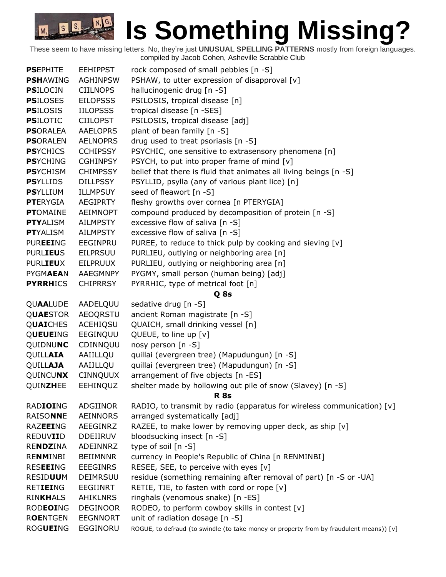| <b>PSEPHITE</b>  | <b>EEHIPPST</b> | rock composed of small pebbles [n -S]                                                   |
|------------------|-----------------|-----------------------------------------------------------------------------------------|
| <b>PSHAWING</b>  | <b>AGHINPSW</b> | PSHAW, to utter expression of disapproval [v]                                           |
| <b>PSILOCIN</b>  | <b>CIILNOPS</b> | hallucinogenic drug [n -S]                                                              |
| <b>PSILOSES</b>  | <b>EILOPSSS</b> | PSILOSIS, tropical disease [n]                                                          |
| <b>PSILOSIS</b>  | <b>IILOPSSS</b> | tropical disease [n -SES]                                                               |
| <b>PSILOTIC</b>  | <b>CIILOPST</b> | PSILOSIS, tropical disease [adj]                                                        |
| <b>PSORALEA</b>  | <b>AAELOPRS</b> | plant of bean family [n -S]                                                             |
| <b>PSORALEN</b>  | <b>AELNOPRS</b> | drug used to treat psoriasis [n -S]                                                     |
| <b>PSYCHICS</b>  | <b>CCHIPSSY</b> | PSYCHIC, one sensitive to extrasensory phenomena [n]                                    |
| <b>PSYCHING</b>  | <b>CGHINPSY</b> | PSYCH, to put into proper frame of mind [v]                                             |
| <b>PSYCHISM</b>  | <b>CHIMPSSY</b> | belief that there is fluid that animates all living beings [n -S]                       |
| <b>PSYLLIDS</b>  | <b>DILLPSSY</b> | PSYLLID, psylla (any of various plant lice) [n]                                         |
| <b>PSYLLIUM</b>  | <b>ILLMPSUY</b> | seed of fleawort [n -S]                                                                 |
| <b>PTERYGIA</b>  | <b>AEGIPRTY</b> | fleshy growths over cornea [n PTERYGIA]                                                 |
| <b>PTOMAINE</b>  | <b>AEIMNOPT</b> | compound produced by decomposition of protein [n -S]                                    |
| <b>PTYALISM</b>  | <b>AILMPSTY</b> | excessive flow of saliva [n -S]                                                         |
| <b>PT</b> YALISM | <b>AILMPSTY</b> | excessive flow of saliva [n -S]                                                         |
| <b>PUREEING</b>  | EEGINPRU        | PUREE, to reduce to thick pulp by cooking and sieving [v]                               |
| <b>PURLIEUS</b>  | <b>EILPRSUU</b> | PURLIEU, outlying or neighboring area [n]                                               |
| <b>PURLIEUX</b>  | <b>EILPRUUX</b> | PURLIEU, outlying or neighboring area [n]                                               |
| <b>PYGMAEAN</b>  | AAEGMNPY        | PYGMY, small person (human being) [adj]                                                 |
| <b>PYRRHICS</b>  | <b>CHIPRRSY</b> | PYRRHIC, type of metrical foot [n]                                                      |
|                  |                 | Q 8s                                                                                    |
| <b>QUAALUDE</b>  | AADELQUU        | sedative drug [n -S]                                                                    |
| <b>QUAESTOR</b>  | <b>AEOQRSTU</b> | ancient Roman magistrate [n -S]                                                         |
| <b>QUAICHES</b>  | <b>ACEHIQSU</b> | QUAICH, small drinking vessel [n]                                                       |
| QUEUEING         | EEGINQUU        | QUEUE, to line up [v]                                                                   |
| QUIDNUNC         | CDINNQUU        | nosy person [n -S]                                                                      |
| QUILLAIA         | AAIILLQU        | quillai (evergreen tree) (Mapudungun) [n -S]                                            |
| <b>QUILLAJA</b>  | AAIJLLQU        | quillai (evergreen tree) (Mapudungun) [n -S]                                            |
| QUINCUNX         | <b>CINNQUUX</b> | arrangement of five objects [n -ES]                                                     |
| QUINZHEE         | <b>EEHINQUZ</b> | shelter made by hollowing out pile of snow (Slavey) [n -S]                              |
|                  |                 | <b>R</b> 8s                                                                             |
| <b>RADIOING</b>  | ADGIINOR        | RADIO, to transmit by radio (apparatus for wireless communication) [v]                  |
| RAISONNE         | <b>AEINNORS</b> | arranged systematically [adj]                                                           |
| RAZEEING         | AEEGINRZ        | RAZEE, to make lower by removing upper deck, as ship [v]                                |
| REDUVIID         | <b>DDEIIRUV</b> | bloodsucking insect [n -S]                                                              |
| RENDZINA         | ADEINNRZ        | type of soil [n -S]                                                                     |
| <b>RENMINBI</b>  | <b>BEIIMNNR</b> | currency in People's Republic of China [n RENMINBI]                                     |
| <b>RESEEING</b>  | <b>EEEGINRS</b> | RESEE, SEE, to perceive with eyes [v]                                                   |
| <b>RESIDUUM</b>  | DEIMRSUU        | residue (something remaining after removal of part) [n -S or -UA]                       |
| <b>RETIEING</b>  | <b>EEGIINRT</b> | RETIE, TIE, to fasten with cord or rope [v]                                             |
| <b>RINKHALS</b>  | <b>AHIKLNRS</b> | ringhals (venomous snake) [n -ES]                                                       |
| <b>RODEOING</b>  | <b>DEGINOOR</b> | RODEO, to perform cowboy skills in contest [v]                                          |
| <b>ROENTGEN</b>  | <b>EEGNNORT</b> | unit of radiation dosage [n -S]                                                         |
| <b>ROGUEING</b>  | EGGINORU        | ROGUE, to defraud (to swindle (to take money or property from by fraudulent means)) [v] |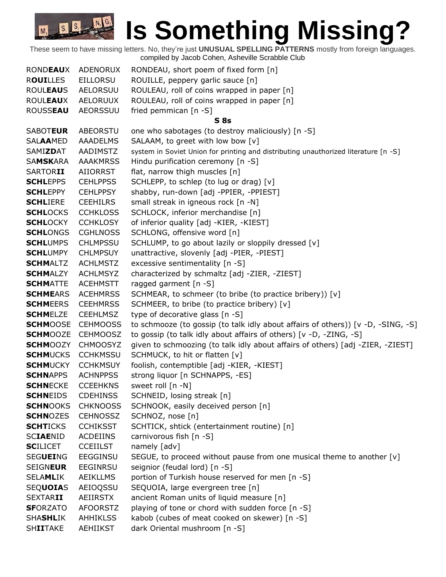| <b>RONDEAUX</b> | <b>ADENORUX</b> | RONDEAU, short poem of fixed form [n]                                               |
|-----------------|-----------------|-------------------------------------------------------------------------------------|
| <b>ROUILLES</b> | <b>EILLORSU</b> | ROUILLE, peppery garlic sauce [n]                                                   |
| <b>ROULEAUS</b> | <b>AELORSUU</b> | ROULEAU, roll of coins wrapped in paper [n]                                         |
| <b>ROULEAUX</b> | AELORUUX        | ROULEAU, roll of coins wrapped in paper [n]                                         |
| <b>ROUSSEAU</b> | <b>AEORSSUU</b> | fried pemmican [n -S]                                                               |
|                 |                 | S <sub>8s</sub>                                                                     |
| <b>SABOTEUR</b> | ABEORSTU        | one who sabotages (to destroy maliciously) [n -S]                                   |
| <b>SALAAMED</b> | <b>AAADELMS</b> | SALAAM, to greet with low bow [v]                                                   |
| SAMIZDAT        | AADIMSTZ        | system in Soviet Union for printing and distributing unauthorized literature [n -S] |
| <b>SAMSKARA</b> | <b>AAAKMRSS</b> | Hindu purification ceremony [n -S]                                                  |
| <b>SARTORII</b> | AIIORRST        | flat, narrow thigh muscles [n]                                                      |
| <b>SCHLEPPS</b> | <b>CEHLPPSS</b> | SCHLEPP, to schlep (to lug or drag) [v]                                             |
| <b>SCHLEPPY</b> | <b>CEHLPPSY</b> | shabby, run-down [adj -PPIER, -PPIEST]                                              |
| <b>SCHLIERE</b> | <b>CEEHILRS</b> | small streak in igneous rock [n -N]                                                 |
| <b>SCHLOCKS</b> | <b>CCHKLOSS</b> | SCHLOCK, inferior merchandise [n]                                                   |
| <b>SCHLOCKY</b> | <b>CCHKLOSY</b> | of inferior quality [adj -KIER, -KIEST]                                             |
| <b>SCHLONGS</b> | <b>CGHLNOSS</b> | SCHLONG, offensive word [n]                                                         |
| <b>SCHLUMPS</b> | <b>CHLMPSSU</b> | SCHLUMP, to go about lazily or sloppily dressed [v]                                 |
| <b>SCHLUMPY</b> | <b>CHLMPSUY</b> | unattractive, slovenly [adj -PIER, -PIEST]                                          |
| <b>SCHMALTZ</b> | <b>ACHLMSTZ</b> | excessive sentimentality [n -S]                                                     |
| <b>SCHMALZY</b> | <b>ACHLMSYZ</b> | characterized by schmaltz [adj -ZIER, -ZIEST]                                       |
| <b>SCHMATTE</b> | <b>ACEHMSTT</b> | ragged garment [n -S]                                                               |
| <b>SCHMEARS</b> | <b>ACEHMRSS</b> | SCHMEAR, to schmeer (to bribe (to practice bribery)) [v]                            |
| <b>SCHMEERS</b> | <b>CEEHMRSS</b> | SCHMEER, to bribe (to practice bribery) [v]                                         |
| <b>SCHMELZE</b> | <b>CEEHLMSZ</b> | type of decorative glass [n -S]                                                     |
| <b>SCHMOOSE</b> | <b>CEHMOOSS</b> | to schmooze (to gossip (to talk idly about affairs of others)) [v -D, -SING, -S]    |
| <b>SCHMOOZE</b> | <b>CEHMOOSZ</b> | to gossip (to talk idly about affairs of others) [v -D, -ZING, -S]                  |
| <b>SCHMOOZY</b> | <b>CHMOOSYZ</b> | given to schmoozing (to talk idly about affairs of others) [adj -ZIER, -ZIEST]      |
| <b>SCHMUCKS</b> | <b>CCHKMSSU</b> | SCHMUCK, to hit or flatten [v]                                                      |
| <b>SCHMUCKY</b> | <b>CCHKMSUY</b> | foolish, contemptible [adj -KIER, -KIEST]                                           |
| <b>SCHNAPPS</b> | <b>ACHNPPSS</b> | strong liquor [n SCHNAPPS, -ES]                                                     |
| <b>SCHNECKE</b> | <b>CCEEHKNS</b> | sweet roll [n -N]                                                                   |
| <b>SCHNEIDS</b> | <b>CDEHINSS</b> | SCHNEID, losing streak [n]                                                          |
| <b>SCHNOOKS</b> | <b>CHKNOOSS</b> | SCHNOOK, easily deceived person [n]                                                 |
| <b>SCHNOZES</b> | <b>CEHNOSSZ</b> | SCHNOZ, nose [n]                                                                    |
| <b>SCHTICKS</b> | <b>CCHIKSST</b> | SCHTICK, shtick (entertainment routine) [n]                                         |
| <b>SCIAENID</b> | <b>ACDEIINS</b> | carnivorous fish [n -S]                                                             |
| <b>SCILICET</b> | <b>CCEIILST</b> | namely [adv]                                                                        |
| <b>SEGUEING</b> | <b>EEGGINSU</b> | SEGUE, to proceed without pause from one musical theme to another [v]               |
| <b>SEIGNEUR</b> | EEGINRSU        | seignior (feudal lord) [n -S]                                                       |
| <b>SELAMLIK</b> | <b>AEIKLLMS</b> | portion of Turkish house reserved for men [n -S]                                    |
| <b>SEQUOIAS</b> | AEIOQSSU        | SEQUOIA, large evergreen tree [n]                                                   |
| <b>SEXTARII</b> | AEIIRSTX        | ancient Roman units of liquid measure [n]                                           |
| <b>SFORZATO</b> | <b>AFOORSTZ</b> | playing of tone or chord with sudden force [n -S]                                   |
| <b>SHASHLIK</b> | <b>AHHIKLSS</b> | kabob (cubes of meat cooked on skewer) [n -S]                                       |
| <b>SHIITAKE</b> | <b>AEHIIKST</b> | dark Oriental mushroom [n -S]                                                       |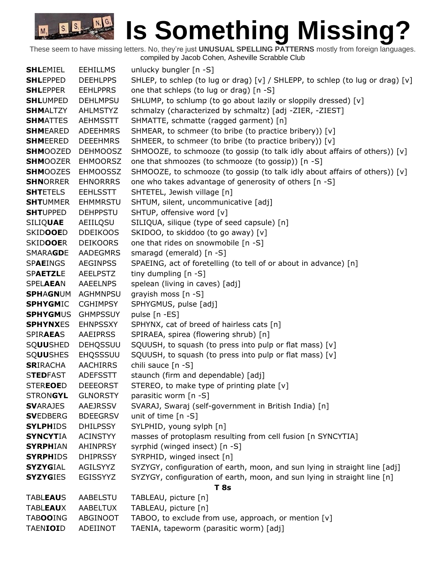## **IS Something Missing?**

These seem to have missing letters. No, they're just **UNUSUAL SPELLING PATTERNS** mostly from foreign languages. compiled by Jacob Cohen, Asheville Scrabble Club

**SHLEMIEL** EEHILLMS unlucky bungler [n -S] **SHLEPPED** DEEHLPPS SHLEP, to schlep (to lug or drag) [v] / SHLEPP, to schlep (to lug or drag) [v] **SHLEPPER** EEHLPPRS one that schleps (to lug or drag) [n -S] **SHL**UMPED DEHLMPSU SHLUMP, to schlump (to go about lazily or sloppily dressed) [v] **SHM**ALTZY AHLMSTYZ schmalzy (characterized by schmaltz) [adj -ZIER, -ZIEST] **SHM**ATTES AEHMSSTT SHMATTE, schmatte (ragged garment) [n] **SHMEARED** ADEEHMRS SHMEAR, to schmeer (to bribe (to practice bribery)) [v] **SHMEERED** DEEEHMRS SHMEER, to schmeer (to bribe (to practice bribery)) [v] **SHM**OOZED DEHMOOSZ SHMOOZE, to schmooze (to gossip (to talk idly about affairs of others)) [v] **SHM**OOZER EHMOORSZ one that shmoozes (to schmooze (to gossip)) [n -S] **SHM**OOZES EHMOOSSZ SHMOOZE, to schmooze (to gossip (to talk idly about affairs of others)) [v] **SHNORRER** EHNORRRS one who takes advantage of generosity of others [n -S] **SHT**ETELS EEHLSSTT SHTETEL, Jewish village [n] **SHT**UMMER EHMMRSTU SHTUM, silent, uncommunicative [adj] **SHT**UPPED DEHPPSTU SHTUP, offensive word [v] SILIQ**UAE** AEIILQSU SILIQUA, silique (type of seed capsule) [n] SKIDOOED DDEIKOOS SKIDOO, to skiddoo (to go away) [v] SKID**OOE**R DEIKOORS one that rides on snowmobile [n -S] SMARA**GD**E AADEGMRS smaragd (emerald) [n -S] SP**AE**INGS AEGINPSS SPAEING, act of foretelling (to tell of or about in advance) [n] SPAETZLE AEELPSTZ tiny dumpling [n -S] SPELAEAN AAEELNPS spelean (living in caves) [adj] **SPH**A**GN**UM AGHMNPSU grayish moss [n -S] **SPHYGM**IC CGHIMPSY SPHYGMUS, pulse [adj] **SPHYGMUS** GHMPSSUY pulse [n -ES] **SPHYNXES** EHNPSSXY SPHYNX, cat of breed of hairless cats [n] SPIR**AEA**S AAEIPRSS SPIRAEA, spirea (flowering shrub) [n] SQ**UU**SHED DEHQSSUU SQUUSH, to squash (to press into pulp or flat mass) [v] SQ**UU**SHES EHQSSSUU SQUUSH, to squash (to press into pulp or flat mass) [v] **SRIRACHA** AACHIRRS chili sauce [n -S] STEDFAST ADEFSSTT staunch (firm and dependable) [adj] STEREOED DEEEORST STEREO, to make type of printing plate [v] STRON**GYL** GLNORSTY parasitic worm [n -S] **SV**ARAJES AAEJRSSV SVARAJ, Swaraj (self-government in British India) [n] **SVEDBERG** BDEEGRSV unit of time [n -S] **SYLPH**IDS DHILPSSY SYLPHID, young sylph [n] **SYNCYTIA** ACINSTYY masses of protoplasm resulting from cell fusion [n SYNCYTIA] **SYRPHIAN** AHINPRSY syrphid (winged insect) [n -S] **SYRPHIDS** DHIPRSSY SYRPHID, winged insect [n] **SYZYG**IAL AGILSYYZ SYZYGY, configuration of earth, moon, and sun lying in straight line [adj] **SYZYGIES** EGISSYYZ SYZYGY, configuration of earth, moon, and sun lying in straight line [n] **T 8s** TABL**EAU**S AABELSTU TABLEAU, picture [n] TABL**EAU**X AABELTUX TABLEAU, picture [n] TAB**OO**ING ABGINOOT TABOO, to exclude from use, approach, or mention [v] TAEN**IOI**D ADEIINOT TAENIA, tapeworm (parasitic worm) [adj]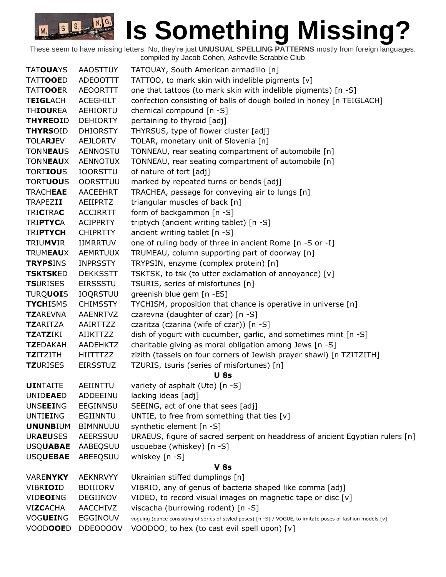| <b>TATOUAYS</b>  | <b>AAOSTTUY</b> | TATOUAY, South American armadillo [n]                                                                       |
|------------------|-----------------|-------------------------------------------------------------------------------------------------------------|
| <b>TATTOOED</b>  | ADEOOTTT        | TATTOO, to mark skin with indelible pigments [v]                                                            |
| <b>TATTOOER</b>  | <b>AEOORTTT</b> | one that tattoos (to mark skin with indelible pigments) [n -S]                                              |
| <b>TEIGLACH</b>  | <b>ACEGHILT</b> | confection consisting of balls of dough boiled in honey [n TEIGLACH]                                        |
| <b>THIOUREA</b>  | <b>AEHIORTU</b> | chemical compound [n -S]                                                                                    |
| <b>THYREOID</b>  | <b>DEHIORTY</b> | pertaining to thyroid [adj]                                                                                 |
| <b>THYRSOID</b>  | <b>DHIORSTY</b> | THYRSUS, type of flower cluster [adj]                                                                       |
| <b>TOLARJEV</b>  | <b>AEJLORTV</b> | TOLAR, monetary unit of Slovenia [n]                                                                        |
| <b>TONNEAUS</b>  | <b>AENNOSTU</b> | TONNEAU, rear seating compartment of automobile [n]                                                         |
| <b>TONNEAUX</b>  | <b>AENNOTUX</b> | TONNEAU, rear seating compartment of automobile [n]                                                         |
| <b>TORTIOUS</b>  | <b>IOORSTTU</b> | of nature of tort [adj]                                                                                     |
| <b>TORTUOUS</b>  | <b>OORSTTUU</b> | marked by repeated turns or bends [adj]                                                                     |
| <b>TRACHEAE</b>  | <b>AACEEHRT</b> | TRACHEA, passage for conveying air to lungs [n]                                                             |
| <b>TRAPEZII</b>  | AEIIPRTZ        | triangular muscles of back [n]                                                                              |
| <b>TRICTRAC</b>  | <b>ACCIRRTT</b> | form of backgammon [n -S]                                                                                   |
| <b>TRIPTYCA</b>  | <b>ACIPPRTY</b> | triptych (ancient writing tablet) [n -S]                                                                    |
| <b>TRIPTYCH</b>  | <b>CHIPRTTY</b> | ancient writing tablet [n -S]                                                                               |
| <b>TRIUMVIR</b>  | <b>IIMRRTUV</b> | one of ruling body of three in ancient Rome [n -S or -I]                                                    |
| <b>TRUMEAUX</b>  | <b>AEMRTUUX</b> | TRUMEAU, column supporting part of doorway [n]                                                              |
| <b>TRYPSINS</b>  | <b>INPRSSTY</b> | TRYPSIN, enzyme (complex protein) [n]                                                                       |
| <b>TSKTSKED</b>  | <b>DEKKSSTT</b> | TSKTSK, to tsk (to utter exclamation of annoyance) [v]                                                      |
| <b>TSURISES</b>  | <b>EIRSSSTU</b> | TSURIS, series of misfortunes [n]                                                                           |
| <b>TURQUOIS</b>  | <b>IOQRSTUU</b> | greenish blue gem [n -ES]                                                                                   |
| <b>TYCHISMS</b>  | <b>CHIMSSTY</b> | TYCHISM, proposition that chance is operative in universe [n]                                               |
| <b>TZAREVNA</b>  | AAENRTVZ        | czarevna (daughter of czar) [n -S]                                                                          |
| <b>TZ</b> ARITZA | AAIRTTZZ        | czaritza (czarina (wife of czar)) [n -S]                                                                    |
| <b>TZATZIKI</b>  | AIIKTTZZ        | dish of yogurt with cucumber, garlic, and sometimes mint [n -S]                                             |
| <b>TZEDAKAH</b>  | <b>AADEHKTZ</b> | charitable giving as moral obligation among Jews [n -S]                                                     |
| <b>TZITZITH</b>  | <b>HIITTTZZ</b> | zizith (tassels on four corners of Jewish prayer shawl) [n TZITZITH]                                        |
| <b>TZURISES</b>  | <b>EIRSSTUZ</b> | TZURIS, tsuris (series of misfortunes) [n]                                                                  |
|                  |                 | <b>U</b> 8s                                                                                                 |
| <b>UINTAITE</b>  | AEIINTTU        | variety of asphalt (Ute) [n -S]                                                                             |
| UNIDEAED         | ADDEEINU        | lacking ideas [adj]                                                                                         |
| <b>UNSEEING</b>  | EEGINNSU        | SEEING, act of one that sees [adj]                                                                          |
| <b>UNTIEING</b>  | EGIINNTU        | UNTIE, to free from something that ties $[v]$                                                               |
| <b>UNUNBIUM</b>  | <b>BIMNNUUU</b> | synthetic element [n -S]                                                                                    |
| <b>URAEUSES</b>  | AEERSSUU        | URAEUS, figure of sacred serpent on headdress of ancient Egyptian rulers [n]                                |
| <b>USQUABAE</b>  | AABEQSUU        | usquebae (whiskey) [n -S]                                                                                   |
| <b>USQUEBAE</b>  | ABEEQSUU        | whiskey [n -S]                                                                                              |
|                  |                 | <b>V</b> 8s                                                                                                 |
| <b>VARENYKY</b>  | <b>AEKNRVYY</b> | Ukrainian stiffed dumplings [n]                                                                             |
| <b>VIBRIOID</b>  | <b>BDIIIORV</b> | VIBRIO, any of genus of bacteria shaped like comma [adj]                                                    |
| VIDEOING         | DEGIINOV        | VIDEO, to record visual images on magnetic tape or disc [v]                                                 |
| <b>VIZCACHA</b>  | AACCHIVZ        | viscacha (burrowing rodent) [n -S]                                                                          |
| VOGUEING         | EGGINOUV        | voguing (dance consisting of series of styled poses) [n -S] / VOGUE, to imitate poses of fashion models [v] |
| <b>VOODOOED</b>  | DDE0000V        | VOODOO, to hex (to cast evil spell upon) [v]                                                                |